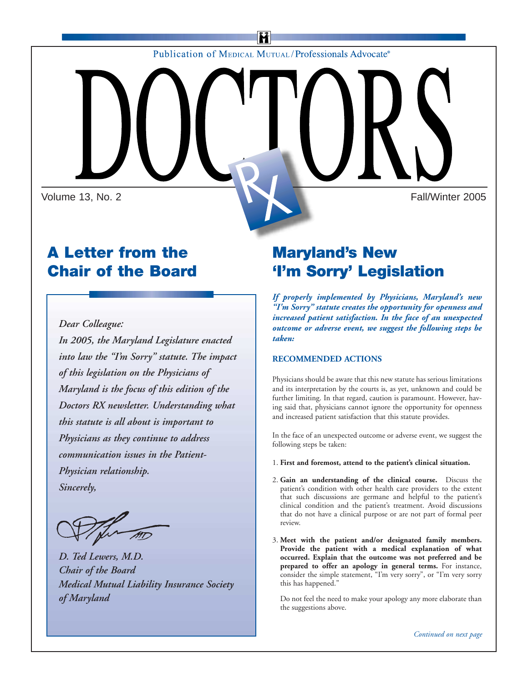**Publication of MEDICAL MUTUAL/Professionals Advocate®** 

Volume 13, No. 2 **Fall/Winter 2005** 

# **A Letter from the Chair of the Board**

*Dear Colleague:*

*In 2005, the Maryland Legislature enacted into law the "I'm Sorry" statute. The impact of this legislation on the Physicians of Maryland is the focus of this edition of the Doctors RX newsletter. Understanding what this statute is all about is important to Physicians as they continue to address communication issues in the Patient-Physician relationship. Sincerely,*

*D. Ted Lewers, M.D. Chair of the Board Medical Mutual Liability Insurance Society of Maryland*

# **Maryland's New 'I'm Sorry' Legislation**

*If properly implemented by Physicians, Maryland's new "I'm Sorry" statute creates the opportunity for openness and increased patient satisfaction. In the face of an unexpected outcome or adverse event, we suggest the following steps be taken:*

## **RECOMMENDED ACTIONS**

Physicians should be aware that this new statute has serious limitations and its interpretation by the courts is, as yet, unknown and could be further limiting. In that regard, caution is paramount. However, having said that, physicians cannot ignore the opportunity for openness and increased patient satisfaction that this statute provides.

In the face of an unexpected outcome or adverse event, we suggest the following steps be taken:

- 1. **First and foremost, attend to the patient's clinical situation.**
- 2. **Gain an understanding of the clinical course.** Discuss the patient's condition with other health care providers to the extent that such discussions are germane and helpful to the patient's clinical condition and the patient's treatment. Avoid discussions that do not have a clinical purpose or are not part of formal peer review.
- 3. **Meet with the patient and/or designated family members. Provide the patient with a medical explanation of what occurred. Explain that the outcome was not preferred and be prepared to offer an apology in general terms.** For instance, consider the simple statement, "I'm very sorry", or "I'm very sorry this has happened."

Do not feel the need to make your apology any more elaborate than the suggestions above.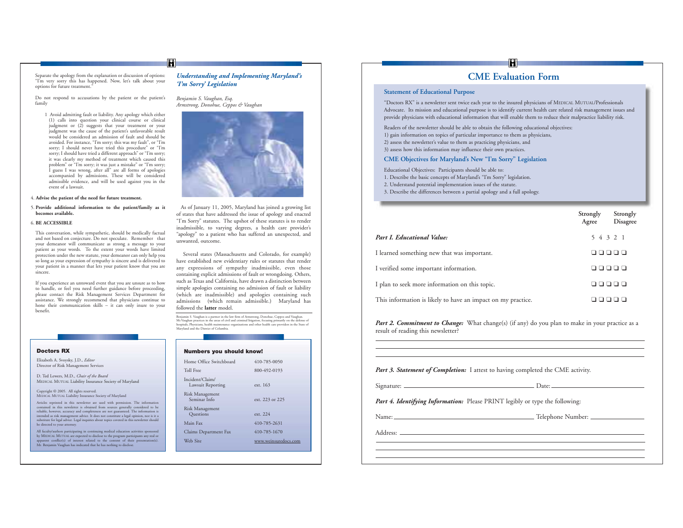#### Separate the apology from the explanation or discussion of options: "I'm very sorry this has happened. Now, let's talk about your options for future treatment."

Do not respond to accusations by the patient or the patient's family

1 Avoid admitting fault or liability. Any apology which either (1) calls into question your clinical course or clinical judgment or (2) suggests that your treatment or your judgment was the cause of the patient's unfavorable result would be considered an admission of fault and should be avoided. For instance, "I'm sorry; this was my fault", or "I'm sorry; I should never have tried this procedure" or "I'm sorry; I should have tried a different approach" or "I'm sorry; it was clearly my method of treatment which caused this problem" or "I'm sorry; it was just a mistake" or "I'm sorry; I guess I was wrong, after all" are all forms of apologies accompanied by admissions. These will be considered admissible evidence, and will be used against you in the event of a lawsuit.

#### 4. **Advise the patient of the need for future treatment.**

5. **Provide additional information to the patient/family as it becomes available.**

#### 6. **BE ACCESSIBLE**

**Doctors RX**Elizabeth A. Svoysky, J.D., *Editor* Director of Risk Management Services

This conversation, while sympathetic, should be medically factual and not based on conjecture. Do not speculate. Remember that your demeanor will communicate as strong a message to your patient as your words. To the extent your words have limited protection under the new statute, your demeanor can only help you so long as your expression of sympathy is sincere and is delivered to your patient in a manner that lets your patient know that you are sincere.

If you experience an untoward event that you are unsure as to how to handle, or feel you need further guidance before proceeding, <sup>p</sup>lease contact the Risk Management Services Department for assistance. We strongly recommend that physicians continue to hone their communication skills – it can only inure to your benefit.

### *Understanding and Implementing Maryland's 'I'm Sorry' Legislation*

*Benjamin S. Vaughan, Esq. Armstrong, Donohue, Ceppos & Vaughan*

M



As of January 11, 2005, Maryland has joined a growing list of states that have addressed the issue of apology and enacted "I'm Sorry" statutes. The upshot of these statutes is to render inadmissible, to varying degrees, a health care provider's "apology" to a patient who has suffered an unexpected, and unwanted, outcome.

Several states (Massachusetts and Colorado, for example) have established new evidentiary rules or statutes that render any expressions of sympathy inadmissible, even those containing explicit admissions of fault or wrongdoing. Others, such as Texas and California, have drawn a distinction between simple apologies containing no admission of fault or liability (which are inadmissible) and apologies containing such admissions (which remain admissible.) Maryland has followed the **latter** model.

Benjamin S. Vaughan is a partner in the law firm of Armstrong, Donohue, Ceppos and Vaughan.<br>Mr.Vaughan practices in the areas of civil and criminal litigation, focusing primarily on the defense of<br>hospitals, Physicians, he

| <b>Numbers you should know!</b>      |                      |
|--------------------------------------|----------------------|
| Home Office Switchboard              | 410-785-0050         |
| Toll Free                            | 800-492-0193         |
| Incident/Claim/<br>Lawsuit Reporting | ext. 163             |
| Risk Management<br>Seminar Info      | ext. 223 or 225      |
| Risk Management<br>Questions         | ext. 224             |
| Main Fax                             | 410-785-2631         |
| Claims Department Fax                | 410-785-1670         |
| Web Site                             | www.weinsuredocs.com |
|                                      |                      |

## M **CME Evaluation Form**

### **Statement of Educational Purpose**

"Doctors RX" is a newsletter sent twice each year to the insured physicians of MEDICAL MUTUAL/Professionals Advocate. Its mission and educational purpose is to identify current health care related risk management issues and provide physicians with educational information that will enable them to reduce their malpractice liability risk.

Readers of the newsletter should be able to obtain the following educational objectives:

1) gain information on topics of particular importance to them as physicians, 2) assess the newsletter's value to them as practicing physicians, and 3) assess how this information may influence their own practices.

### **CME Objectives for Maryland's New "I'm Sorry" Legislation**

Educational Objectives: Participants should be able to:

- 1. Describe the basic concepts of Maryland's "I'm Sorry" legislation.
- 2. Understand potential implementation issues of the statute.
- 3. Describe the differences between a partial apology and a full apology.

|                                                              | Strongly<br>Agree | Strongly<br><b>Disagree</b> |
|--------------------------------------------------------------|-------------------|-----------------------------|
| Part I. Educational Value:                                   |                   | 5 4 3 2 1                   |
| I learned something new that was important.                  |                   | ם ם ם ם ם                   |
| I verified some important information.                       |                   | 88 8                        |
| I plan to seek more information on this topic.               |                   | $\Box$ $\Box$               |
| This information is likely to have an impact on my practice. |                   |                             |

*Part 2. Commitment to Change:* What change(s) (if any) do you plan to make in your practice as a result of reading this newsletter?

*Part 3. Statement of Completion:* I attest to having completed the CME activity.

Signature: Date:

*Part 4. Identifying Information:* Please PRINT legibly or type the following:

Address:

Name: Telephone Number:

| D. Ted Lewers, M.D., Chair of the Board                |
|--------------------------------------------------------|
| MEDICAL MUTUAL Liability Insurance Society of Maryland |

Copyright © 2005. All rights reserved. MEDICAL MUTUAL Liability Insurance Society of Maryland

Articles reprinted in this newsletter are used with permission. The info contained in this newsletter is obtained from sources generally considered to be<br>reliable, however, accuracy and completeness are not guaranteed. The information is<br>intended as risk management advice. It does not constitut be directed to your attorney

All faculty/authors participating in continuing medical education activities sponsored<br>by MEDICAL MUTUAL are expected to disclose to the program participants any real or<br>apparent conflict(s) of interest related to the cont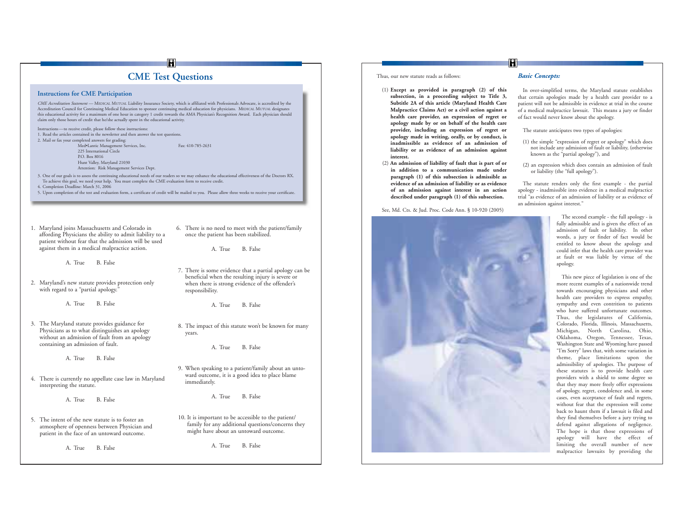# Й **CME Test Questions**

### **Instructions for CME Participation**

*CME Accreditation Statement —* MEDICAL MUTUAL Liability Insurance Society, which is affiliated with Professionals Advocate, is accredited by the Accreditation Council for Continuing Medical Education to sponsor continuing medical education for physicians. МЕРКАІ. MUTUAI. designates<br>this educational activity for a maximum of one hour in category 1 credit towards th claim only those hours of credit that he/she actually spent in the educational activity.

- Instructions—to receive credit, please follow these instructions: 1. Read the articles contained in the newsletter and then answer the test questions.
- 2. Mail or fax your completed answers for grading:

Med•Lantic Management Services, Inc. Fax: 410-785-2631 225 International CircleP.O. Box 8016 Hunt Valley, Maryland 21030 Attention: Risk Management Services Dept.

3. One of our goals is to assess the continuing educational needs of our readers so we may enhance the educational effectiveness of the Doctors RX. To achieve this goal, we need your help. You must complete the CME evaluation form to receive credit. 4. Completion Deadline: March 31, 2006

5. Upon completion of the test and evaluation form, a certificate of credit will be mailed to you. Please allow three weeks to receive your certificate.

1. Maryland joins Massachusetts and Colorado in affording Physicians the ability to admit liability to a patient without fear that the admission will be used against them in a medical malpractice action.

- A. True B. False
- 2. Maryland's new statute provides protection only with regard to a "partial apology."

A. True B. False

3. The Maryland statute provides guidance for Physicians as to what distinguishes an apology without an admission of fault from an apology containing an admission of fault.

- A. True B. False
- 4. There is currently no appellate case law in Maryland interpreting the statute.

A. True B. False

5. The intent of the new statute is to foster an atmosphere of openness between Physician and patient in the face of an untoward outcome.

A. True B. False

A. True B. False

6. There is no need to meet with the patient/family once the patient has been stabilized.

7. There is some evidence that a partial apology can be beneficial when the resulting injury is severe or when there is strong evidence of the offender's responsibility.

A. True B. False

8. The impact of this statute won't be known for many years.

A. True B. False

9. When speaking to a patient/family about an untoward outcome, it is a good idea to place blame immediately.

A. True B. False

10. It is important to be accessible to the patient/ family for any additional questions/concerns they might have about an untoward outcome.

A. True B. False

### Thus, our new statute reads as follows:

- (1) **Except as provided in paragraph (2) of this subsection, in a proceeding subject to Title 3, Subtitle 2A of this article (Maryland Health Care Malpractice Claims Act) or a civil action against a health care provider, an expression of regret or apology made by or on behalf of the health care provider, including an expression of regret or apology made in writing, orally, or by conduct, is inadmissible as evidence of an admission of liability or as evidence of an admission against interest.**
- (2) **An admission of liability of fault that is part of or in addition to a communication made under paragraph (1) of this subsection is admissible as evidence of an admission of liability or as evidence of an admission against interest in an action described under paragraph (1) of this subsection.**

See, Md. Cts. & Jud. Proc. Code Ann. § 10-920 (2005)



### *Basic Concepts:*

M

In over-simplified terms, the Maryland statute establishes that certain apologies made by a health care provider to a patient will not be admissible in evidence at trial in the course of a medical malpractice lawsuit. This means a jury or finder of fact would never know about the apology.

The statute anticipates two types of apologies:

- (1) the simple "expression of regret or apology" which does not include any admission of fault or liability, (otherwise known as the "partial apology"), and
- (2) an expression which does contain an admission of fault or liability (the "full apology").

The statute renders only the first example - the partial apology - inadmissible into evidence in a medical malpractice trial "as evidence of an admission of liability or as evidence of an admission against interest."

> The second example - the full apology - is fully admissible and is given the effect of an admission of fault or liability. In other words, a jury or finder of fact would be entitled to know about the apology and could infer that the health care provider was at fault or was liable by virtue of the apology.

> This new piece of legislation is one of the more recent examples of a nationwide trend towards encouraging physicians and other health care providers to express empathy, sympathy and even contrition to patients who have suffered unfortunate outcomes.Thus, the legislatures of California, Colorado, Florida, Illinois, Massachusetts, Michigan, North Carolina, Ohio, Oklahoma, Oregon, Tennessee, Texas, Washington State and Wyoming have passed "I'm Sorry" laws that, with some variation in theme, place limitations upon the admissibility of apologies. The purpose of these statutes is to provide health care providers with a shield to some degree so that they may more freely offer expressions of apology, regret, condolence and, in some cases, even acceptance of fault and regrets, without fear that the expression will come back to haunt them if a lawsuit is filed and they find themselves before a jury trying to defend against allegations of negligence. The hope is that those expressions of apology will have the effect of limiting the overall number of new malpractice lawsuits by providing the